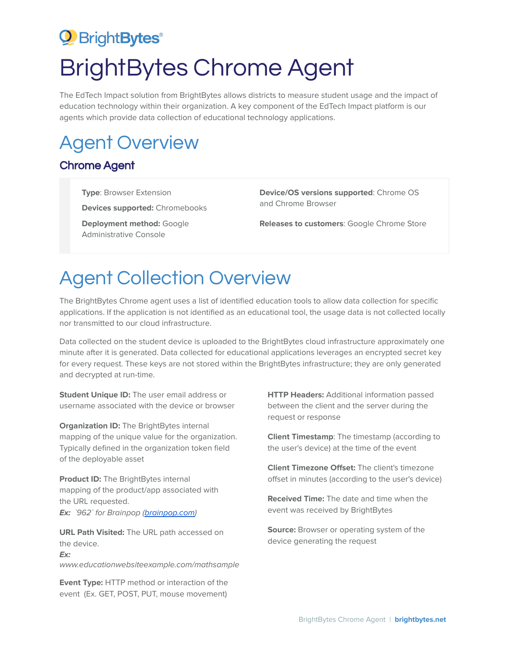## <sup>2</sup> Bright Bytes<sup>®</sup> BrightBytes Chrome Agent

The EdTech Impact solution from BrightBytes allows districts to measure student usage and the impact of education technology within their organization. A key component of the EdTech Impact platform is our agents which provide data collection of educational technology applications.

## Agent Overview

## Chrome Agent

**Type**: Browser Extension

**Devices supported:** Chromebooks

**Deployment method:** Google Administrative Console

**Device/OS versions supported**: Chrome OS and Chrome Browser

**Releases to customers**: Google Chrome Store

## Agent Collection Overview

The BrightBytes Chrome agent uses a list of identified education tools to allow data collection for specific applications. If the application is not identified as an educational tool, the usage data is not collected locally nor transmitted to our cloud infrastructure.

Data collected on the student device is uploaded to the BrightBytes cloud infrastructure approximately one minute after it is generated. Data collected for educational applications leverages an encrypted secret key for every request. These keys are not stored within the BrightBytes infrastructure; they are only generated and decrypted at run-time.

**Student Unique ID:** The user email address or username associated with the device or browser

**Organization ID:** The BrightBytes internal mapping of the unique value for the organization. Typically defined in the organization token field of the deployable asset

**Product ID:** The BrightBytes internal mapping of the product/app associated with the URL requested. **Ex:** `962` for Brainpop (**brainpop.com**)

**URL Path Visited:** The URL path accessed on the device. **Ex:** www.educationwebsiteexample.com/mathsample

**Event Type:** HTTP method or interaction of the event (Ex. GET, POST, PUT, mouse movement)

**HTTP Headers:** Additional information passed between the client and the server during the request or response

**Client Timestamp**: The timestamp (according to the user's device) at the time of the event

**Client Timezone Offset:** The client's timezone offset in minutes (according to the user's device)

**Received Time:** The date and time when the event was received by BrightBytes

**Source:** Browser or operating system of the device generating the request